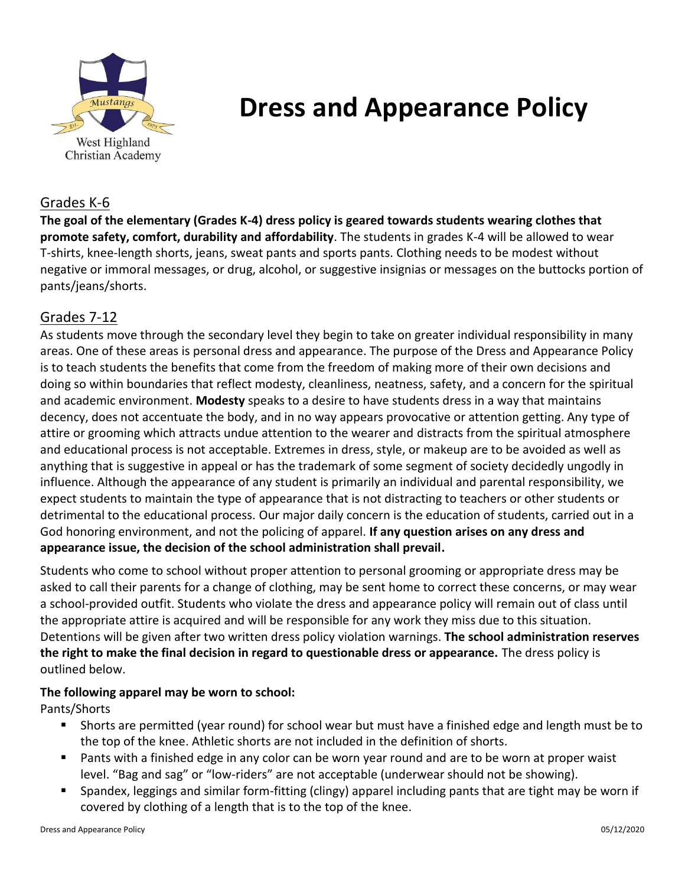

# **Dress and Appearance Policy**

## Grades K-6

**The goal of the elementary (Grades K-4) dress policy is geared towards students wearing clothes that promote safety, comfort, durability and affordability**. The students in grades K-4 will be allowed to wear T-shirts, knee-length shorts, jeans, sweat pants and sports pants. Clothing needs to be modest without negative or immoral messages, or drug, alcohol, or suggestive insignias or messages on the buttocks portion of pants/jeans/shorts.

## Grades 7-12

As students move through the secondary level they begin to take on greater individual responsibility in many areas. One of these areas is personal dress and appearance. The purpose of the Dress and Appearance Policy is to teach students the benefits that come from the freedom of making more of their own decisions and doing so within boundaries that reflect modesty, cleanliness, neatness, safety, and a concern for the spiritual and academic environment. **Modesty** speaks to a desire to have students dress in a way that maintains decency, does not accentuate the body, and in no way appears provocative or attention getting. Any type of attire or grooming which attracts undue attention to the wearer and distracts from the spiritual atmosphere and educational process is not acceptable. Extremes in dress, style, or makeup are to be avoided as well as anything that is suggestive in appeal or has the trademark of some segment of society decidedly ungodly in influence. Although the appearance of any student is primarily an individual and parental responsibility, we expect students to maintain the type of appearance that is not distracting to teachers or other students or detrimental to the educational process. Our major daily concern is the education of students, carried out in a God honoring environment, and not the policing of apparel. **If any question arises on any dress and appearance issue, the decision of the school administration shall prevail.**

Students who come to school without proper attention to personal grooming or appropriate dress may be asked to call their parents for a change of clothing, may be sent home to correct these concerns, or may wear a school-provided outfit. Students who violate the dress and appearance policy will remain out of class until the appropriate attire is acquired and will be responsible for any work they miss due to this situation. Detentions will be given after two written dress policy violation warnings. **The school administration reserves the right to make the final decision in regard to questionable dress or appearance.** The dress policy is outlined below.

### **The following apparel may be worn to school:**

Pants/Shorts

- Shorts are permitted (year round) for school wear but must have a finished edge and length must be to the top of the knee. Athletic shorts are not included in the definition of shorts.
- Pants with a finished edge in any color can be worn year round and are to be worn at proper waist level. "Bag and sag" or "low-riders" are not acceptable (underwear should not be showing).
- Spandex, leggings and similar form-fitting (clingy) apparel including pants that are tight may be worn if covered by clothing of a length that is to the top of the knee.